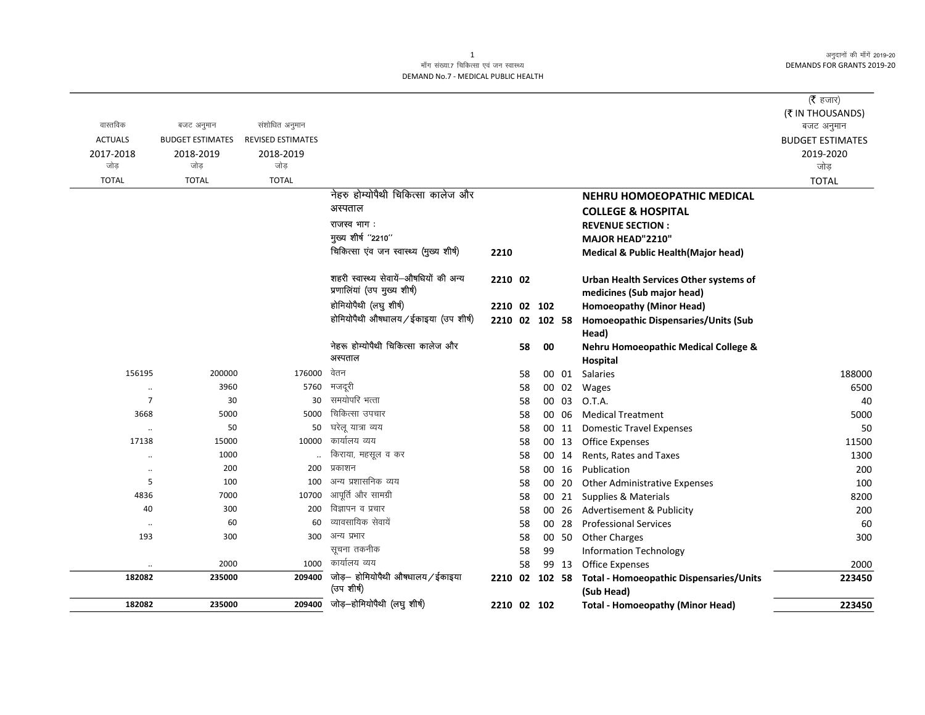अनुदानों की माँगें 2019-20 DEMANDS FOR GRANTS 2019-20

## माँग संख्या.7 चिकित्सा एवं जन स्वास्थ्य DEMAND No.7 - MEDICAL PUBLIC HEALTH

|                   |                         |                          |                                         |                |          |    |                |                                                          | ( $\bar{\tau}$ हजार)    |
|-------------------|-------------------------|--------------------------|-----------------------------------------|----------------|----------|----|----------------|----------------------------------------------------------|-------------------------|
|                   |                         |                          |                                         |                |          |    |                |                                                          | (₹ IN THOUSANDS)        |
| वास्तविक          | बजट अनुमान              | संशोधित अनुमान           |                                         |                |          |    |                |                                                          | बजट अनुमान              |
| <b>ACTUALS</b>    | <b>BUDGET ESTIMATES</b> | <b>REVISED ESTIMATES</b> |                                         |                |          |    |                |                                                          | <b>BUDGET ESTIMATES</b> |
| 2017-2018<br>जोड  | 2018-2019<br>जोड        | 2018-2019<br>जोड         |                                         |                |          |    |                |                                                          | 2019-2020<br>जोड़       |
| <b>TOTAL</b>      | <b>TOTAL</b>            | <b>TOTAL</b>             |                                         |                |          |    |                |                                                          | <b>TOTAL</b>            |
|                   |                         |                          | नेहरु होम्योपैथी चिकित्सा कालेज और      |                |          |    |                | NEHRU HOMOEOPATHIC MEDICAL                               |                         |
|                   |                         |                          | अस्पताल                                 |                |          |    |                |                                                          |                         |
|                   |                         |                          | राजस्व भाग :                            |                |          |    |                | <b>COLLEGE &amp; HOSPITAL</b><br><b>REVENUE SECTION:</b> |                         |
|                   |                         |                          | मुख्य शीर्ष "2210"                      |                |          |    |                | MAJOR HEAD"2210"                                         |                         |
|                   |                         |                          | चिकित्सा एंव जन स्वास्थ्य (मुख्य शीर्ष) | 2210           |          |    |                | <b>Medical &amp; Public Health (Major head)</b>          |                         |
|                   |                         |                          |                                         |                |          |    |                |                                                          |                         |
|                   |                         |                          | शहरी स्वास्थ्य सेवायें-औषधियों की अन्य  | 2210 02        |          |    |                | Urban Health Services Other systems of                   |                         |
|                   |                         |                          | प्रणालियां (उप मुख्य शीर्ष)             |                |          |    |                | medicines (Sub major head)                               |                         |
|                   |                         |                          | होमियोपैथी (लघु शीर्ष)                  | 2210 02 102    |          |    |                | Homoeopathy (Minor Head)                                 |                         |
|                   |                         |                          | होमियोपैथी औषधालय/ईकाइया (उप शीर्ष)     | 2210 02 102 58 |          |    |                | Homoeopathic Dispensaries/Units (Sub                     |                         |
|                   |                         |                          |                                         |                |          |    |                | Head)                                                    |                         |
|                   |                         |                          | नेहरू होम्योपैथी चिकित्सा कालेज और      |                | 58       | 00 |                | Nehru Homoeopathic Medical College &                     |                         |
|                   |                         |                          | अस्पताल                                 |                |          |    |                | Hospital                                                 |                         |
| 156195            | 200000                  | 176000                   | वेतन                                    |                | 58       |    | 00 01          | Salaries                                                 | 188000                  |
| $\cdot\cdot$      | 3960                    | 5760                     | मजदूरी                                  |                | 58       |    | 00 02          | Wages                                                    | 6500                    |
| $\overline{7}$    | 30                      | 30                       | समयोपरि भत्ता                           |                | 58       |    | 00 03          | O.T.A.                                                   | 40                      |
| 3668              | 5000                    | 5000                     | चिकित्सा उपचार                          |                | 58       |    | 00 06          | <b>Medical Treatment</b>                                 | 5000                    |
| $\cdot\cdot$      | 50                      | 50                       | घरेलू यात्रा व्यय<br>कार्यालय व्यय      |                | 58       |    | 00 11          | <b>Domestic Travel Expenses</b>                          | 50                      |
| 17138             | 15000                   | 10000                    | किराया, महसूल व कर                      |                | 58       |    | 00 13          | <b>Office Expenses</b>                                   | 11500                   |
| $\ddotsc$         | 1000<br>200             | 200                      | प्रकाशन                                 |                | 58       |    | 00 14          | Rents, Rates and Taxes                                   | 1300                    |
| $\cdot\cdot$<br>5 | 100                     | 100                      | अन्य प्रशासनिक व्यय                     |                | 58       |    | 00 16          | Publication                                              | 200                     |
| 4836              | 7000                    | 10700                    | आपूर्ति और सामग्री                      |                | 58<br>58 |    | 00 20<br>00 21 | Other Administrative Expenses<br>Supplies & Materials    | 100<br>8200             |
| 40                | 300                     | 200                      | विज्ञापन व प्रचार                       |                | 58       |    | 00 26          | Advertisement & Publicity                                | 200                     |
| $\cdot\cdot$      | 60                      | 60                       | व्यावसायिक सेवायें                      |                | 58       |    | 00 28          | <b>Professional Services</b>                             | 60                      |
| 193               | 300                     | 300                      | अन्य प्रभार                             |                | 58       |    | 00 50          | <b>Other Charges</b>                                     | 300                     |
|                   |                         |                          | सूचना तकनीक                             |                | 58       | 99 |                | <b>Information Technology</b>                            |                         |
|                   | 2000                    | 1000                     | कार्यालय व्यय                           |                | 58       |    | 99 13          | <b>Office Expenses</b>                                   | 2000                    |
| 182082            | 235000                  | 209400                   | जोड़- होमियोपैथी औषधालय / ईकाइया        | 2210 02 102 58 |          |    |                | <b>Total - Homoeopathic Dispensaries/Units</b>           | 223450                  |
|                   |                         |                          | (उप शीर्ष)                              |                |          |    |                | (Sub Head)                                               |                         |
| 182082            | 235000                  | 209400                   | जोड़-होमियोपैथी (लघु शीर्ष)             | 2210 02 102    |          |    |                | <b>Total - Homoeopathy (Minor Head)</b>                  | 223450                  |

1